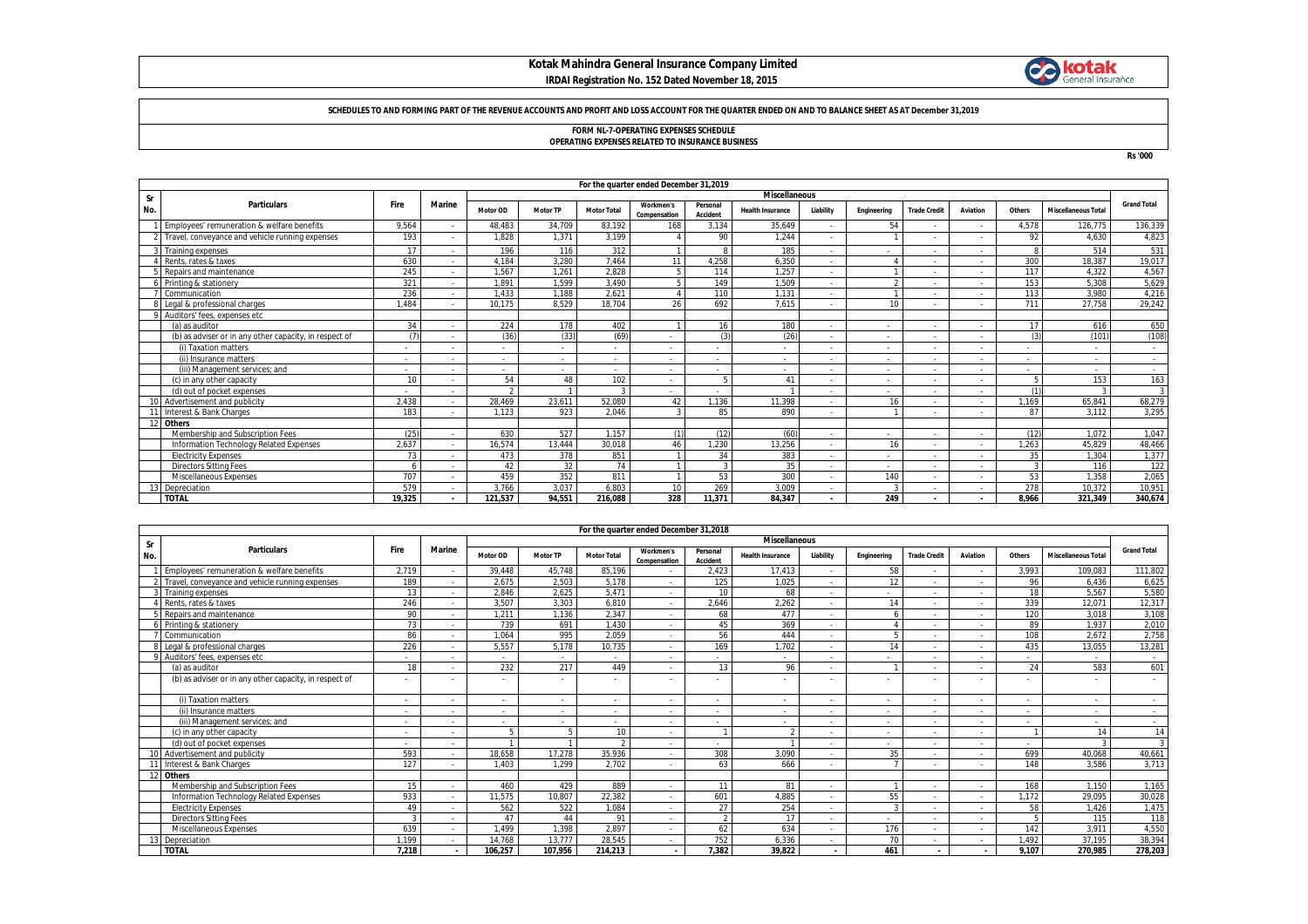## **Kotak Mahindra General Insurance Company Limited IRDAI Registration No. 152 Dated November 18, 2015**



#### **SCHEDULES TO AND FORMING PART OF THE REVENUE ACCOUNTS AND PROFIT AND LOSS ACCOUNT FOR THE QUARTER ENDED ON AND TO BALANCE SHEET AS AT December 31,2019**

# **FORM NL-7-OPERATING EXPENSES SCHEDULE OPERATING EXPENSES RELATED TO INSURANCE BUSINESS**

**Rs '000**

|     | For the quarter ended December 31,2019                 |        |               |                 |                          |                    |                           |                          |                          |                          |              |                          |                          |            |                            |                    |
|-----|--------------------------------------------------------|--------|---------------|-----------------|--------------------------|--------------------|---------------------------|--------------------------|--------------------------|--------------------------|--------------|--------------------------|--------------------------|------------|----------------------------|--------------------|
| Sr  |                                                        |        |               |                 |                          |                    |                           |                          | <b>Miscellaneous</b>     |                          |              |                          |                          |            |                            |                    |
| No. | <b>Particulars</b>                                     | Fire   | <b>Marine</b> | <b>Motor OD</b> | <b>Motor TP</b>          | <b>Motor Total</b> | Workmen's<br>Compensation | Personal<br>Accident     | <b>Health Insurance</b>  | Liability                | Engineering  | <b>Trade Credit</b>      | Aviation                 | Others     | <b>Miscellaneous Total</b> | <b>Grand Total</b> |
|     | Employees' remuneration & welfare benefits             | 9,564  |               | 48,483          | 34,709                   | 83,192             | 168                       | 3,134                    | 35,649                   | $\sim$                   | 54           | $\overline{\phantom{0}}$ | $\sim$                   | 4,578      | 126,775                    | 136,339            |
|     | Travel, conveyance and vehicle running expenses        | 193    |               | 1,828           | 1.371                    | 3.199              |                           | 90                       | 1.244                    | $\overline{\phantom{a}}$ |              |                          |                          | 92         | 4.630                      | 4,823              |
|     | Training expenses                                      | 17     |               | 196             | 116                      | 312                |                           | -8                       | 185                      | ٠                        |              | $\overline{\phantom{a}}$ |                          | 8          | 514                        | 531                |
|     | Rents, rates & taxes                                   | 630    |               | 4.184           | 3.280                    | 7.464              | 11                        | 4.258                    | 6.350                    | ٠                        |              |                          | $\sim$                   | 300        | 18,387                     | 19,017             |
|     | Repairs and maintenance                                | 245    |               | 1.567           | 1.261                    | 2.828              |                           | 114                      | 1.257                    | ٠                        |              |                          | $\sim$                   | 117        | 4.322                      | 4.567              |
|     | Printing & stationery                                  | 321    |               | 1,891           | 1.599                    | 3,490              |                           | 149                      | 1.509                    | $\overline{\phantom{a}}$ |              |                          | $\sim$                   | 153        | 5,308                      | 5,629              |
|     | Communication                                          | 236    |               | 1.433           | .188                     | 2.621              |                           | 110                      | 1.131                    | $\overline{\phantom{a}}$ |              | $\overline{\phantom{0}}$ | $\sim$                   | 113        | 3.980                      | 4,216              |
|     | Legal & professional charges                           | 1.484  |               | 10,175          | 8.529                    | 18.704             | 26                        | 692                      | 7.615                    | $\overline{\phantom{a}}$ | 10           |                          |                          | 711        | 27,758                     | 29,242             |
|     | Auditors' fees, expenses etc.                          |        |               |                 |                          |                    |                           |                          |                          |                          |              |                          |                          |            |                            |                    |
|     | (a) as auditor                                         | 34     |               | 224             | 178                      | 402                |                           | 16                       | 180                      | $\overline{\phantom{a}}$ |              | $\overline{\phantom{0}}$ | $\sim$                   | 17         | 616                        | 650                |
|     | (b) as adviser or in any other capacity, in respect of | (7)    |               | (36)            | (33)                     | (69)               |                           | (3)                      | (26)                     | $\overline{\phantom{a}}$ |              |                          |                          | $\sqrt{2}$ | (101)                      | (108)              |
|     | (i) Taxation matters                                   |        |               |                 | $\overline{\phantom{0}}$ |                    |                           |                          |                          | ٠                        |              |                          | $\overline{\phantom{a}}$ |            |                            |                    |
|     | (ii) Insurance matters                                 |        |               |                 | $\overline{\phantom{a}}$ |                    |                           | $\overline{\phantom{a}}$ | $\overline{\phantom{a}}$ | $\overline{\phantom{a}}$ | . .          | $\overline{\phantom{a}}$ | $\sim$                   |            |                            | $\sim$             |
|     | (iii) Management services; and                         |        |               |                 |                          |                    |                           |                          |                          | $\overline{\phantom{a}}$ |              |                          | $\sim$                   |            |                            | $\sim$             |
|     | (c) in any other capacity                              | 10     |               | 54              | 48                       | 102                |                           |                          | 41                       | $\overline{\phantom{a}}$ | . .          | $\overline{\phantom{a}}$ |                          |            | 153                        | 163                |
|     | (d) out of pocket expenses                             |        |               |                 |                          |                    |                           |                          |                          | $\overline{\phantom{a}}$ |              | $\overline{\phantom{a}}$ | $\sim$                   |            |                            | 3                  |
|     | 10 Advertisement and publicity                         | 2.438  |               | 28,469          | 23.611                   | 52,080             | 42                        | .136                     | 11.398                   | $\overline{\phantom{a}}$ | 16           |                          | $\sim$                   | 1.169      | 65,841                     | 68,279             |
|     | Interest & Bank Charges                                | 183    |               | 1.123           | 923                      | 2.046              |                           | 85                       | 890                      | ۰.                       |              |                          |                          | 87         | 3.112                      | 3,295              |
|     | 12 Others                                              |        |               |                 |                          |                    |                           |                          |                          |                          |              |                          |                          |            |                            |                    |
|     | Membership and Subscription Fees                       | (25)   |               | 630             | 527                      | 1.157              | (1)                       | (12)                     | (60)                     | $\overline{\phantom{a}}$ |              | $\overline{\phantom{a}}$ | $\sim$                   | (12)       | 1.072                      | 1,047              |
|     | Information Technology Related Expenses                | 2.637  |               | 16,574          | 13.444                   | 30,018             | 46                        | .230                     | 13,256                   | $\overline{\phantom{a}}$ | 16           |                          |                          | 1.263      | 45,829                     | 48,466             |
|     | <b>Electricity Expenses</b>                            | 73     |               | 473             | 378                      | 851                |                           | 34                       | 383                      | $\overline{\phantom{a}}$ |              |                          | $\sim$                   | 35         | 1.304                      | 1,377              |
|     | <b>Directors Sitting Fees</b>                          |        |               | 42              | 32                       | 74                 |                           | $\mathbf{3}$             | 35                       | $\overline{\phantom{a}}$ |              | $\overline{\phantom{a}}$ | $\sim$                   | 3          | 116                        | 122                |
|     | <b>Miscellaneous Expenses</b>                          | 707    |               | 459             | 352                      | 811                |                           | 53                       | 300                      | ٠                        | 140          | $\overline{\phantom{a}}$ | $\sim$                   | 53         | 1.358                      | 2,065              |
|     | Depreciation                                           | 579    |               | 3.766           | 3.037                    | 6.803              | 10 <sup>10</sup>          | 269                      | 3.009                    | $\overline{\phantom{a}}$ | $\mathbf{3}$ | $\overline{\phantom{a}}$ | $\sim$                   | 278        | 10,372                     | 10,951             |
|     | <b>TOTAL</b>                                           | 19.325 |               | 121.537         | 94.551                   | 216.088            | 328                       | 11.371                   | 84.347                   | $\overline{\phantom{a}}$ | 249          |                          |                          | 8.966      | 321.349                    | 340.674            |

|     | For the quarter ended December 31,2018                 |                          |               |                          |                 |                          |                                  |                      |                         |                          |             |                     |                          |                          |                            |                          |
|-----|--------------------------------------------------------|--------------------------|---------------|--------------------------|-----------------|--------------------------|----------------------------------|----------------------|-------------------------|--------------------------|-------------|---------------------|--------------------------|--------------------------|----------------------------|--------------------------|
| Sr  |                                                        |                          |               | <b>Miscellaneous</b>     |                 |                          |                                  |                      |                         |                          |             |                     |                          |                          |                            |                          |
| No. | <b>Particulars</b>                                     | <b>Fire</b>              | <b>Marine</b> | Motor OD                 | <b>Motor TP</b> | <b>Motor Total</b>       | <b>Workmen's</b><br>Compensation | Personal<br>Accident | <b>Health Insurance</b> | Liability                | Engineering | <b>Trade Credit</b> | Aviation                 | Others                   | <b>Miscellaneous Total</b> | <b>Grand Total</b>       |
|     | Employees' remuneration & welfare benefits             | 2,719                    |               | 39.448                   | 45.748          | 85.196                   |                                  | 2,423                | 17,413                  |                          | 58          |                     |                          | 3,993                    | 109.083                    | 111,802                  |
|     | 2 Travel, convevance and vehicle running expenses      | 189                      |               | 2.675                    | 2,503           | 5.178                    | $\sim$                           | 125                  | 1.025                   | $\overline{\phantom{a}}$ | 12          |                     |                          | 96                       | 6.436                      | 6,625                    |
|     | <b>Training expenses</b>                               | 12                       |               | 2.846                    | 2.625           | 5,471                    | $\sim$                           | 10 <sup>1</sup>      | 68                      | $\overline{\phantom{a}}$ | $\sim$      |                     |                          | 18                       | 5.567                      | 5,580                    |
|     | Rents, rates & taxes                                   | 246                      |               | 3.507                    | 3.303           | 6.810                    | $\overline{\phantom{a}}$         | 2.646                | 2,262                   | $\sim$                   | 14          |                     |                          | 339                      | 12.071                     | 12,317                   |
|     | Repairs and maintenance                                | 90                       |               | 1,211                    | 1.136           | 2,347                    | $\sim$                           | 68                   | 477                     | $\sim$                   |             |                     | $\overline{\phantom{a}}$ | 120                      | 3.018                      | 3,108                    |
|     | Printing & stationery                                  | 73                       |               | 739                      | 691             | 1.430                    | $\sim$                           | 45                   | 369                     | $\overline{\phantom{a}}$ |             |                     |                          | 89                       | 1.937                      | 2,010                    |
|     | Communication                                          | 86                       |               | 1.064                    | 995             | 2,059                    | $\overline{\phantom{a}}$         | 56                   | 444                     |                          |             |                     |                          | 108                      | 2.672                      | 2,758                    |
|     | Legal & professional charges                           | 226                      |               | 5.557                    | 5.178           | 10.735                   | $\sim$                           | 169                  | 1.702                   |                          | 14          |                     |                          | 435                      | 13.055                     | 13,281                   |
|     | Auditors' fees, expenses etc                           |                          |               | $\overline{\phantom{a}}$ |                 | $\overline{\phantom{a}}$ | $\sim$                           |                      |                         | $\overline{\phantom{a}}$ | $\sim$      |                     |                          | $\overline{\phantom{a}}$ | $\overline{\phantom{a}}$   | $\sim$                   |
|     | (a) as auditor                                         | 18                       |               | 232                      | 217             | 449                      | $\sim$                           | 13                   | 96                      |                          |             |                     |                          | 24                       | 583                        | 601                      |
|     | (b) as adviser or in any other capacity, in respect of |                          |               |                          |                 |                          |                                  |                      |                         |                          |             |                     |                          |                          |                            |                          |
|     | (i) Taxation matters                                   | $\overline{\phantom{a}}$ |               | $\overline{\phantom{a}}$ |                 | $\overline{\phantom{a}}$ | $\sim$                           |                      |                         |                          | $\sim$      |                     | ٠                        | $\sim$                   | $\sim$                     | $\overline{\phantom{a}}$ |
|     | (ii) Insurance matters                                 | $\overline{\phantom{a}}$ |               | $\overline{\phantom{a}}$ |                 | $\overline{\phantom{a}}$ | $\sim$                           |                      |                         |                          | $\sim$      |                     | $\overline{\phantom{a}}$ | $\sim$                   | $\sim$                     | $\overline{\phantom{a}}$ |
|     | (iii) Management services: and                         | $\overline{\phantom{a}}$ |               | $\overline{\phantom{a}}$ |                 | $\overline{\phantom{a}}$ | $\sim$                           |                      |                         | $\overline{\phantom{a}}$ | $\sim$      |                     |                          | $\overline{\phantom{a}}$ | $\sim$                     | $\sim$                   |
|     | (c) in any other capacity                              | $\overline{\phantom{a}}$ |               |                          |                 | 10                       | $\sim$                           |                      |                         |                          | $\sim$      |                     |                          |                          | 14                         | 14                       |
|     | (d) out of pocket expenses                             | $\sim$                   |               |                          |                 |                          | $\sim$                           |                      |                         |                          | $\sim$      |                     |                          | .                        |                            |                          |
|     | 10 Advertisement and publicity                         | 593                      |               | 18,658                   | 17.278          | 35,936                   | $\sim$                           | 308                  | 3.090                   | $\sim$                   | 35          |                     |                          | 699                      | 40,068                     | 40,661                   |
|     | 11 Interest & Bank Charges                             | 127                      |               | 1.403                    | 1.299           | 2.702                    | $\sim$                           | 63                   | 666                     | $\overline{\phantom{a}}$ |             |                     | ٠                        | 148                      | 3.586                      | 3,713                    |
|     | 12 Others                                              |                          |               |                          |                 |                          |                                  |                      |                         |                          |             |                     |                          |                          |                            |                          |
|     | Membership and Subscription Fees                       | 15                       |               | 460                      | 429             | 889                      | $\overline{\phantom{a}}$         | 11                   | 81                      | $\sim$                   |             |                     |                          | 168                      | 1.150                      | 1,165                    |
|     | Information Technology Related Expenses                | 933                      |               | 11.575                   | 10.807          | 22,382                   | $\overline{\phantom{a}}$         | 601                  | 4.885                   | $\overline{\phantom{a}}$ | 55          |                     |                          | 1.172                    | 29.095                     | 30,028                   |
|     | <b>Electricity Expenses</b>                            | 49                       |               | 562                      | 522             | 1.084                    | $\overline{\phantom{a}}$         | 27                   | 254                     | $\overline{\phantom{a}}$ | f,          |                     |                          | 58                       | 1.426                      | 1,475                    |
|     | <b>Directors Sitting Fees</b>                          |                          |               | 47                       | 44              | 91                       | $\sim$                           | $\overline{2}$       | 17                      |                          | $\sim$      |                     | ٠                        |                          | 115                        | 118                      |
|     | Miscellaneous Expenses                                 | 639                      |               | 1.499                    | 1,398           | 2,897                    | $\sim$                           | 62                   | 634                     |                          | 176         |                     |                          | 142                      | 3,911                      | 4,550                    |
|     | Depreciation                                           | 1,199                    |               | 14.768                   | 13.777          | 28,545                   |                                  | 752                  | 6,336                   |                          | 70          |                     |                          | 1.492                    | 37.195                     | 38,394                   |
|     | <b>TOTAL</b>                                           | 7.218                    |               | 106.257                  | 107.956         | 214.213                  |                                  | 7.382                | 39.822                  | ×.                       | 461         | $\blacksquare$      |                          | 9.107                    | 270.985                    | 278.203                  |